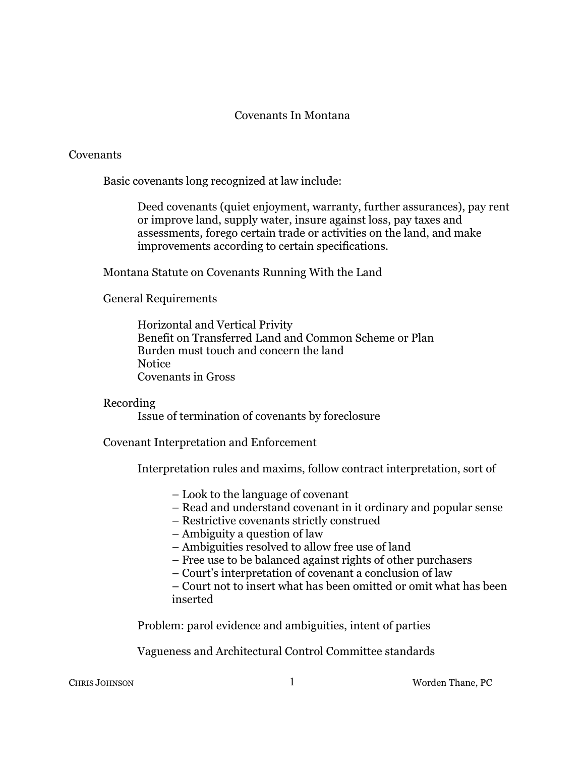## Covenants In Montana

## **Covenants**

Basic covenants long recognized at law include:

Deed covenants (quiet enjoyment, warranty, further assurances), pay rent or improve land, supply water, insure against loss, pay taxes and assessments, forego certain trade or activities on the land, and make improvements according to certain specifications.

Montana Statute on Covenants Running With the Land

General Requirements

Horizontal and Vertical Privity Benefit on Transferred Land and Common Scheme or Plan Burden must touch and concern the land **Notice** Covenants in Gross

## Recording

Issue of termination of covenants by foreclosure

Covenant Interpretation and Enforcement

Interpretation rules and maxims, follow contract interpretation, sort of

- Look to the language of covenant
- Read and understand covenant in it ordinary and popular sense
- Restrictive covenants strictly construed
- Ambiguity a question of law
- Ambiguities resolved to allow free use of land
- Free use to be balanced against rights of other purchasers
- Court's interpretation of covenant a conclusion of law

– Court not to insert what has been omitted or omit what has been inserted

Problem: parol evidence and ambiguities, intent of parties

Vagueness and Architectural Control Committee standards

CHRIS JOHNSON 1 Worden Thane, PC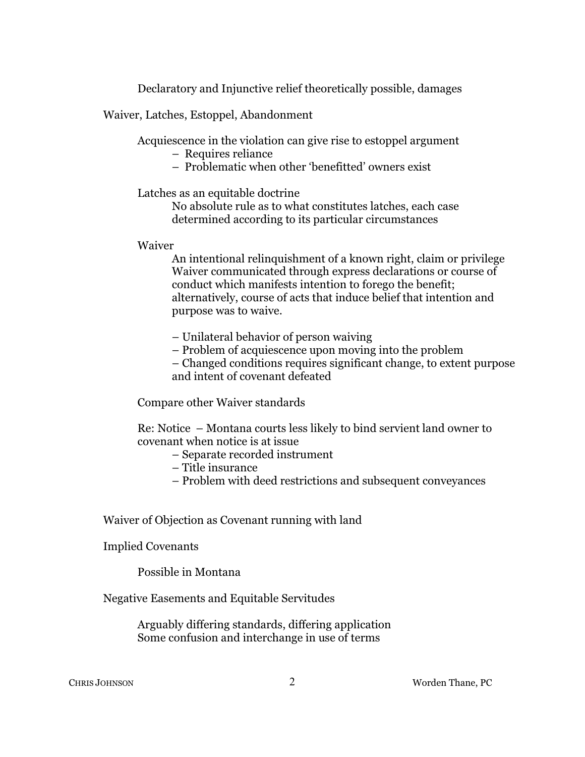Declaratory and Injunctive relief theoretically possible, damages

Waiver, Latches, Estoppel, Abandonment

Acquiescence in the violation can give rise to estoppel argument

– Requires reliance

– Problematic when other 'benefitted' owners exist

Latches as an equitable doctrine

No absolute rule as to what constitutes latches, each case determined according to its particular circumstances

Waiver

An intentional relinquishment of a known right, claim or privilege Waiver communicated through express declarations or course of conduct which manifests intention to forego the benefit; alternatively, course of acts that induce belief that intention and purpose was to waive.

– Unilateral behavior of person waiving

– Problem of acquiescence upon moving into the problem

– Changed conditions requires significant change, to extent purpose and intent of covenant defeated

Compare other Waiver standards

Re: Notice – Montana courts less likely to bind servient land owner to covenant when notice is at issue

- Separate recorded instrument
- Title insurance
- Problem with deed restrictions and subsequent conveyances

Waiver of Objection as Covenant running with land

Implied Covenants

Possible in Montana

Negative Easements and Equitable Servitudes

Arguably differing standards, differing application Some confusion and interchange in use of terms